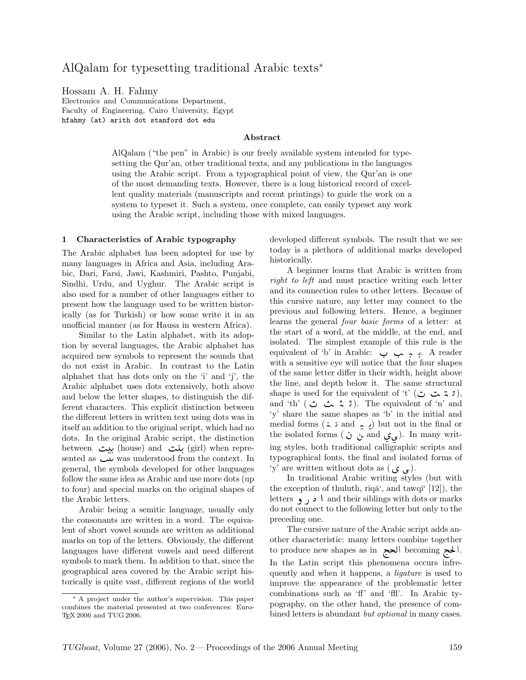# AlQalam for typesetting traditional Arabic texts<sup>∗</sup>

Hossam A. H. Fahmy

Electronics and Communications Department, Faculty of Engineering, Cairo University, Egypt hfahmy (at) arith dot stanford dot edu

#### Abstract

AlQalam ("the pen" in Arabic) is our freely available system intended for typesetting the Qur'an, other traditional texts, and any publications in the languages using the Arabic script. From a typographical point of view, the Qur'an is one of the most demanding texts. However, there is a long historical record of excellent quality materials (manuscripts and recent printings) to guide the work on a system to typeset it. Such a system, once complete, can easily typeset any work using the Arabic script, including those with mixed languages.

#### 1 Characteristics of Arabic typography

The Arabic alphabet has been adopted for use by many languages in Africa and Asia, including Arabic, Dari, Farsi, Jawi, Kashmiri, Pashto, Punjabi, Sindhi, Urdu, and Uyghur. The Arabic script is also used for a number of other languages either to present how the language used to be written historically (as for Turkish) or how some write it in an unofficial manner (as for Hausa in western Africa).

Similar to the Latin alphabet, with its adoption by several languages, the Arabic alphabet has acquired new symbols to represent the sounds that do not exist in Arabic. In contrast to the Latin alphabet that has dots only on the 'i' and 'j', the Arabic alphabet uses dots extensively, both above and below the letter shapes, to distinguish the different characters. This explicit distinction between the different letters in written text using dots was in itself an addition to the original script, which had no dots. In the original Arabic script, the distinction between بيت (house) and بيت (girl) when represented as  $\mu$  was understood from the context. In general, the symbols developed for other languages follow the same idea as Arabic and use more dots (up to four) and special marks on the original shapes of the Arabic letters.

Arabic being a semitic language, usually only the consonants are written in a word. The equivalent of short vowel sounds are written as additional marks on top of the letters. Obviously, the different languages have different vowels and need different symbols to mark them. In addition to that, since the geographical area covered by the Arabic script historically is quite vast, different regions of the world

developed different symbols. The result that we see today is a plethora of additional marks developed historically.

A beginner learns that Arabic is written from right to left and must practice writing each letter and its connection rules to other letters. Because of this cursive nature, any letter may connect to the previous and following letters. Hence, a beginner learns the general four basic forms of a letter: at the start of a word, at the middle, at the end, and isolated. The simplest example of this rule is the equivalent of 'b' in Arabic: . A reader with a sensitive eye will notice that the four shapes of the same letter differ in their width, height above the line, and depth below it. The same structural shape is used for the equivalent of 't' ( تـ تـ ت), and 'th' (ثم ثم ث $\cdot$ ). The equivalent of 'n' and 'y' share the same shapes as 'b' in the initial and medial forms  $(i : \text{and } \dots)$  but not in the final or the isolated forms ( می ق and ن ن ). In many writing styles, both traditional calligraphic scripts and typographical fonts, the final and isolated forms of 'y' are written without dots as  $($ ی ی).

In traditional Arabic writing styles (but with the exception of thuluth, riq $\bar{a}$ ', and tawq $\bar{a}$ ' [12]), the letters and their siblings with dots or marks do not connect to the following letter but only to the preceding one.

The cursive nature of the Arabic script adds another characteristic: many letters combine together to produce new shapes as in الحج becoming الحجht In the Latin script this phenomena occurs infrequently and when it happens, a ligature is used to improve the appearance of the problematic letter combinations such as 'ff' and 'ffl'. In Arabic typography, on the other hand, the presence of combined letters is abundant but optional in many cases.

<sup>∗</sup> A project under the author's supervision. This paper combines the material presented at two conferences: Euro-TEX 2006 and TUG 2006.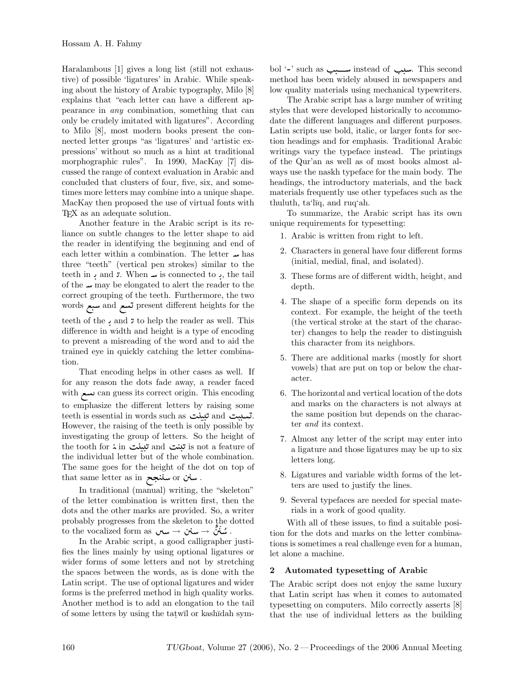Haralambous [1] gives a long list (still not exhaustive) of possible 'ligatures' in Arabic. While speaking about the history of Arabic typography, Milo [8] explains that "each letter can have a different appearance in any combination, something that can only be crudely imitated with ligatures". According to Milo [8], most modern books present the connected letter groups "as 'ligatures' and 'artistic expressions' without so much as a hint at traditional morphographic rules". In 1990, MacKay [7] discussed the range of context evaluation in Arabic and concluded that clusters of four, five, six, and sometimes more letters may combine into a unique shape. MacKay then proposed the use of virtual fonts with TEX as an adequate solution.

Another feature in the Arabic script is its reliance on subtle changes to the letter shape to aid the reader in identifying the beginning and end of each letter within a combination. The letter  $\omega$  has three "teeth" (vertical pen strokes) similar to the teeth in and  $\bar{z}$ . When  $\bar{w}$  is connected to , the tail of the  $\omega$  may be elongated to alert the reader to the correct grouping of the teeth. Furthermore, the two words سبع and تسع present different heights for the teeth of the and to help the reader as well. This difference in width and height is a type of encoding to prevent a misreading of the word and to aid the trained eye in quickly catching the letter combination.

That encoding helps in other cases as well. If for any reason the dots fade away, a reader faced with - can guess its correct origin. This encoding to emphasize the different letters by raising some teeth is essential in words such as تبينت and تبينت However, the raising of the teeth is only possible by investigating the group of letters. So the height of  $\text{the tooth for } \text{\rm \dot{.}} \text{ in } \text{ in } \mathbb{Z} \text{ and } \text{ in } \mathbb{Z} \text{ is not a feature of }$ the individual letter but of the whole combination. The same goes for the height of the dot on top of  $\frac{1}{\pi}$ سنن or سننجح . . سنن .

In traditional (manual) writing, the "skeleton" of the letter combination is written first, then the dots and the other marks are provided. So, a writer probably progresses from the skeleton to the dotted  $\phi$  to the vocalized form as  $\phi \rightarrow \phi^* \rightarrow \phi^*$  . شَنَنْ  $\phi$ 

In the Arabic script, a good calligrapher justifies the lines mainly by using optional ligatures or wider forms of some letters and not by stretching the spaces between the words, as is done with the Latin script. The use of optional ligatures and wider forms is the preferred method in high quality works. Another method is to add an elongation to the tail of some letters by using the tat will or kashidah sym-

bol '-' such as سبب instead of سبب. This second method has been widely abused in newspapers and low quality materials using mechanical typewriters.

The Arabic script has a large number of writing styles that were developed historically to accommodate the different languages and different purposes. Latin scripts use bold, italic, or larger fonts for section headings and for emphasis. Traditional Arabic writings vary the typeface instead. The printings of the Qur'an as well as of most books almost always use the naskh typeface for the main body. The headings, the introductory materials, and the back materials frequently use other typefaces such as the thuluth, ta'līq, and ruq'ah.

To summarize, the Arabic script has its own unique requirements for typesetting:

- 1. Arabic is written from right to left.
- 2. Characters in general have four different forms (initial, medial, final, and isolated).
- 3. These forms are of different width, height, and depth.
- 4. The shape of a specific form depends on its context. For example, the height of the teeth (the vertical stroke at the start of the character) changes to help the reader to distinguish this character from its neighbors.
- 5. There are additional marks (mostly for short vowels) that are put on top or below the character.
- 6. The horizontal and vertical location of the dots and marks on the characters is not always at the same position but depends on the character and its context.
- 7. Almost any letter of the script may enter into a ligature and those ligatures may be up to six letters long.
- 8. Ligatures and variable width forms of the letters are used to justify the lines.
- 9. Several typefaces are needed for special materials in a work of good quality.

With all of these issues, to find a suitable position for the dots and marks on the letter combinations is sometimes a real challenge even for a human, let alone a machine.

### 2 Automated typesetting of Arabic

The Arabic script does not enjoy the same luxury that Latin script has when it comes to automated typesetting on computers. Milo correctly asserts [8] that the use of individual letters as the building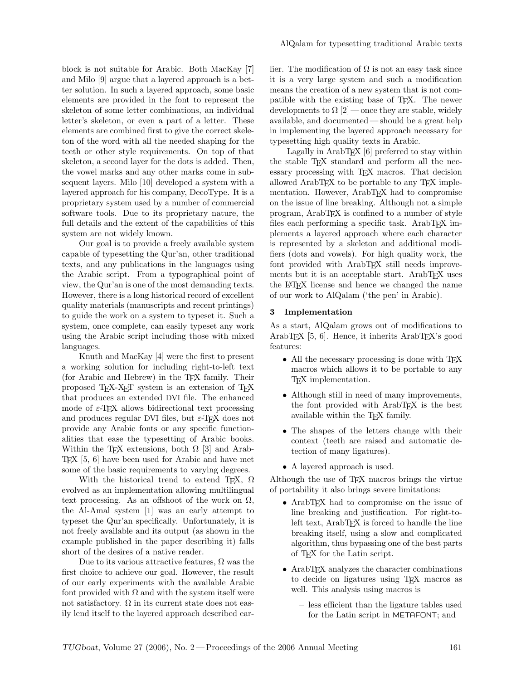block is not suitable for Arabic. Both MacKay [7] and Milo [9] argue that a layered approach is a better solution. In such a layered approach, some basic elements are provided in the font to represent the skeleton of some letter combinations, an individual letter's skeleton, or even a part of a letter. These elements are combined first to give the correct skeleton of the word with all the needed shaping for the teeth or other style requirements. On top of that skeleton, a second layer for the dots is added. Then, the vowel marks and any other marks come in subsequent layers. Milo [10] developed a system with a layered approach for his company, DecoType. It is a proprietary system used by a number of commercial software tools. Due to its proprietary nature, the full details and the extent of the capabilities of this system are not widely known.

Our goal is to provide a freely available system capable of typesetting the Qur'an, other traditional texts, and any publications in the languages using the Arabic script. From a typographical point of view, the Qur'an is one of the most demanding texts. However, there is a long historical record of excellent quality materials (manuscripts and recent printings) to guide the work on a system to typeset it. Such a system, once complete, can easily typeset any work using the Arabic script including those with mixed languages.

Knuth and MacKay [4] were the first to present a working solution for including right-to-left text (for Arabic and Hebrew) in the TEX family. Their proposed TEX-XET system is an extension of TEX that produces an extended DVI file. The enhanced mode of  $\varepsilon$ -T<sub>F</sub>X allows bidirectional text processing and produces regular DVI files, but  $\varepsilon$ -T<sub>E</sub>X does not provide any Arabic fonts or any specific functionalities that ease the typesetting of Arabic books. Within the TEX extensions, both  $\Omega$  [3] and Arab-TEX [5, 6] have been used for Arabic and have met some of the basic requirements to varying degrees.

With the historical trend to extend T<sub>E</sub>X,  $\Omega$ evolved as an implementation allowing multilingual text processing. As an offshoot of the work on  $\Omega$ , the Al-Amal system [1] was an early attempt to typeset the Qur'an specifically. Unfortunately, it is not freely available and its output (as shown in the example published in the paper describing it) falls short of the desires of a native reader.

Due to its various attractive features,  $\Omega$  was the first choice to achieve our goal. However, the result of our early experiments with the available Arabic font provided with  $\Omega$  and with the system itself were not satisfactory.  $\Omega$  in its current state does not easily lend itself to the layered approach described earlier. The modification of  $\Omega$  is not an easy task since it is a very large system and such a modification means the creation of a new system that is not compatible with the existing base of TEX. The newer developments to  $\Omega$  [2] — once they are stable, widely available, and documented — should be a great help in implementing the layered approach necessary for typesetting high quality texts in Arabic.

Lagally in Arab $T_{\rm F}X$  [6] preferred to stay within the stable T<sub>EX</sub> standard and perform all the necessary processing with TEX macros. That decision allowed ArabTEX to be portable to any TEX implementation. However, ArabTEX had to compromise on the issue of line breaking. Although not a simple program, ArabTEX is confined to a number of style files each performing a specific task. ArabTEX implements a layered approach where each character is represented by a skeleton and additional modifiers (dots and vowels). For high quality work, the font provided with ArabTEX still needs improvements but it is an acceptable start. ArabTEX uses the L<sup>A</sup>TEX license and hence we changed the name of our work to AlQalam ('the pen' in Arabic).

#### 3 Implementation

As a start, AlQalam grows out of modifications to ArabT<sub>E</sub>X [5, 6]. Hence, it inherits ArabT<sub>E</sub>X's good features:

- All the necessary processing is done with T<sub>E</sub>X macros which allows it to be portable to any TEX implementation.
- Although still in need of many improvements, the font provided with ArabTEX is the best available within the TEX family.
- The shapes of the letters change with their context (teeth are raised and automatic detection of many ligatures).
- A layered approach is used.

Although the use of TEX macros brings the virtue of portability it also brings severe limitations:

- ArabT<sub>EX</sub> had to compromise on the issue of line breaking and justification. For right-toleft text, ArabTEX is forced to handle the line breaking itself, using a slow and complicated algorithm, thus bypassing one of the best parts of TEX for the Latin script.
- ArabT<sub>EX</sub> analyzes the character combinations to decide on ligatures using TEX macros as well. This analysis using macros is
	- less efficient than the ligature tables used for the Latin script in METAFONT; and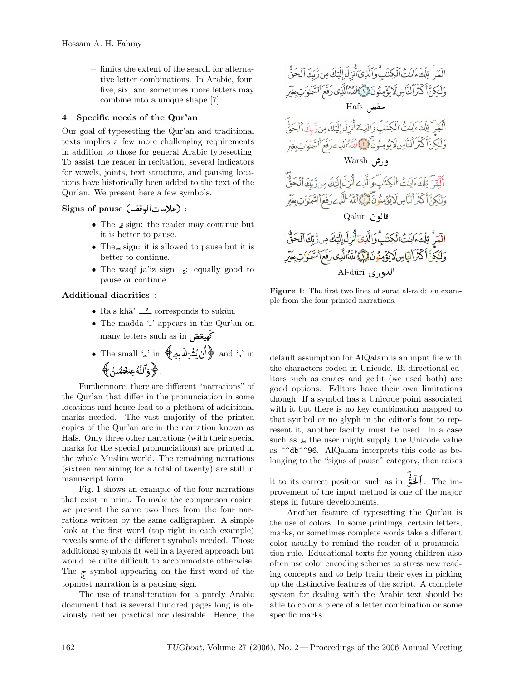– limits the extent of the search for alternative letter combinations. In Arabic, four, five, six, and sometimes more letters may combine into a unique shape [7].

### 4 Specific needs of the Qur'an

Our goal of typesetting the Qur'an and traditional texts implies a few more challenging requirements in addition to those for general Arabic typesetting. To assist the reader in recitation, several indicators for vowels, joints, text structure, and pausing locations have historically been added to the text of the Qur'an. We present here a few symbols.

### $\mathrm{Sigma\; of\; pause\; (a}$ علامات|لوقف) :

- The sign: the reader may continue but it is better to pause.
- The sign: it is allowed to pause but it is better to continue.
- The waqf ja'iz sign  $\epsilon$ : equally good to pause or continue.

### Additional diacritics :

- Ra's khā'  $\frac{1}{2}$  corresponds to sukūn.
- The madda  $\mathcal{L}'$  appears in the Qur'an on many letters such as in كَهيغَضَ.

• The small '2' in 
$$
\bigoplus
$$
 (i) and 'j' in  $\bigoplus$  (ii) the table of the equation  $\bigoplus$  (iii) a.

Furthermore, there are different "narrations" of the Qur'an that differ in the pronunciation in some locations and hence lead to a plethora of additional marks needed. The vast majority of the printed copies of the Qur'an are in the narration known as Hafs. Only three other narrations (with their special marks for the special pronunciations) are printed in the whole Muslim world. The remaining narrations (sixteen remaining for a total of twenty) are still in manuscript form.

Fig. 1 shows an example of the four narrations that exist in print. To make the comparison easier, we present the same two lines from the four narrations written by the same calligrapher. A simple look at the first word (top right in each example) reveals some of the different symbols needed. Those additional symbols fit well in a layered approach but would be quite difficult to accommodate otherwise. The  $\zeta$  symbol appearing on the first word of the topmost narration is a pausing sign.

The use of transliteration for a purely Arabic document that is several hundred pages long is obviously neither practical nor desirable. Hence, the



Figure 1: The first two lines of surat al-ra'd: an example from the four printed narrations.

default assumption for AlQalam is an input file with the characters coded in Unicode. Bi-directional editors such as emacs and gedit (we used both) are good options. Editors have their own limitations though. If a symbol has a Unicode point associated with it but there is no key combination mapped to that symbol or no glyph in the editor's font to represent it, another facility must be used. In a case such as  $\blacktriangle$  the user might supply the Unicode value as ^^db^^96. AlQalam interprets this code as belonging to the "signs of pause" category, then raises

it to its correct position such as in  $\mathcal{L}$ . The improvement of the input method is one of the major steps in future developments.

Another feature of typesetting the Qur'an is the use of colors. In some printings, certain letters, marks, or sometimes complete words take a different color usually to remind the reader of a pronunciation rule. Educational texts for young children also often use color encoding schemes to stress new reading concepts and to help train their eyes in picking up the distinctive features of the script. A complete system for dealing with the Arabic text should be able to color a piece of a letter combination or some specific marks.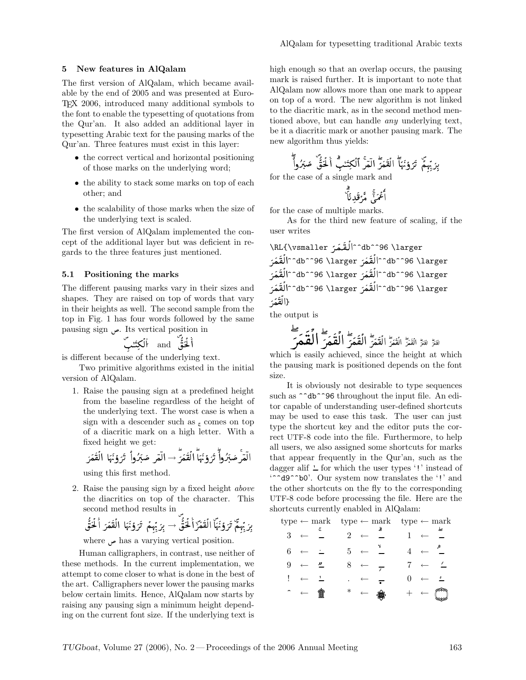### 5 New features in AlQalam

The first version of AlQalam, which became available by the end of 2005 and was presented at Euro-TEX 2006, introduced many additional symbols to the font to enable the typesetting of quotations from the Qur'an. It also added an additional layer in typesetting Arabic text for the pausing marks of the Qur'an. Three features must exist in this layer:

- the correct vertical and horizontal positioning of those marks on the underlying word;
- the ability to stack some marks on top of each other; and
- the scalability of those marks when the size of the underlying text is scaled.

The first version of AlQalam implemented the concept of the additional layer but was deficient in regards to the three features just mentioned.

### 5.1 Positioning the marks

The different pausing marks vary in their sizes and shapes. They are raised on top of words that vary in their heights as well. The second sample from the top in Fig. 1 has four words followed by the same pausing sign . Its vertical position in

- " and <sup>+</sup> 5"

is different because of the underlying text.

Two primitive algorithms existed in the initial version of AlQalam.

1. Raise the pausing sign at a predefined height from the baseline regardless of the height of the underlying text. The worst case is when a sign with a descender such as  $\epsilon$  comes on top of a diacritic mark on a high letter. With a fixed height we get:

 2" " <sup>→</sup> 2" " 

using this first method.

2. Raise the pausing sign by a fixed height above the diacritics on top of the character. This second method results in

َ بَرِ بَّرِمَّ تَرَوَٰمَّاٌ اُلَقَمَّرٌ أَحُقُّ
$$
ُ → بِرَ بِّرِمُ تَرَوٌَمٍَا الَقَمَرَ أَخُقُ
$$

where has a varying vertical position.

Human calligraphers, in contrast, use neither of these methods. In the current implementation, we attempt to come closer to what is done in the best of the art. Calligraphers never lower the pausing marks below certain limits. Hence, AlQalam now starts by raising any pausing sign a minimum height depending on the current font size. If the underlying text is

high enough so that an overlap occurs, the pausing mark is raised further. It is important to note that AlQalam now allows more than one mark to appear on top of a word. The new algorithm is not linked to the diacritic mark, as in the second method mentioned above, but can handle any underlying text, be it a diacritic mark or another pausing mark. The new algorithm thus yields:

4 <sup>+</sup> 5" "- 4 2" <sup>4</sup> " " 

for the case of a single mark and

 \* -"+ - " %

for the case of multiple marks.

As for the third new feature of scaling, if the user writes

\RL{\vsmaller ^^db^^96 \larger 2 " 2" ^^db^^96 \larger 2" ^^db^^96 \larger ^^db^^96 \larger ^^db^^96 \larger 2" 2" ^^db^^96 \larger ^^db^^96 \larger 2" 2" } 2" 

the output is

 $\mathbf{r}$  . The contract of the contract of the contract of the contract of the contract of the contract of the contract of the contract of the contract of the contract of the contract of the contract of the contract of th

 ! " #\$ % &(' ) \* )+ ),- .0/ 4 2" 12 13 1456 798;:<= <> <?@ABDC;EFG FH FIJKL <sup>M</sup> EFG FH FIJKL M

which is easily achieved, since the height at which the pausing mark is positioned depends on the font size.

 that appear frequently in the Qur'an, such as the It is obviously not desirable to type sequences such as  $\hat{\ }$  ab  $\hat{\ }$ 96 throughout the input file. An editor capable of understanding user-defined shortcuts may be used to ease this task. The user can just type the shortcut key and the editor puts the correct UTF-8 code into the file. Furthermore, to help all users, we also assigned some shortcuts for marks dagger alif  $\angle$  for which the user types '!' instead of '^^d9^^b0'. Our system now translates the '!' and the other shortcuts on the fly to the corresponding UTF-8 code before processing the file. Here are the shortcuts currently enabled in AlQalam:

|                |                        |                   |                |                            | $type \leftarrow mark \quad type \leftarrow mark \quad type \leftarrow mark$ |                |                  |  |  |
|----------------|------------------------|-------------------|----------------|----------------------------|------------------------------------------------------------------------------|----------------|------------------|--|--|
| $3 \leftarrow$ |                        |                   | $2 \leftarrow$ |                            |                                                                              |                |                  |  |  |
|                | $6 \leftarrow$         | $\sim$ 100 $\sim$ |                |                            | $5 \leftarrow 2 \leftarrow 4 \leftarrow$                                     |                |                  |  |  |
|                | $9 \leftarrow$         | $\frac{y}{x}$     |                | $8 \leftarrow \frac{1}{5}$ |                                                                              | $7 \leftarrow$ |                  |  |  |
|                | $\cdot \cdot$          |                   |                | $\ldots \leftarrow$        |                                                                              | $\theta$       | $\longleftarrow$ |  |  |
|                | $\hat{z}$ $\leftarrow$ | 畣                 |                | $\ast$ $\leftarrow$ $\ast$ |                                                                              |                | $+$ $\leftarrow$ |  |  |
|                |                        |                   |                |                            |                                                                              |                |                  |  |  |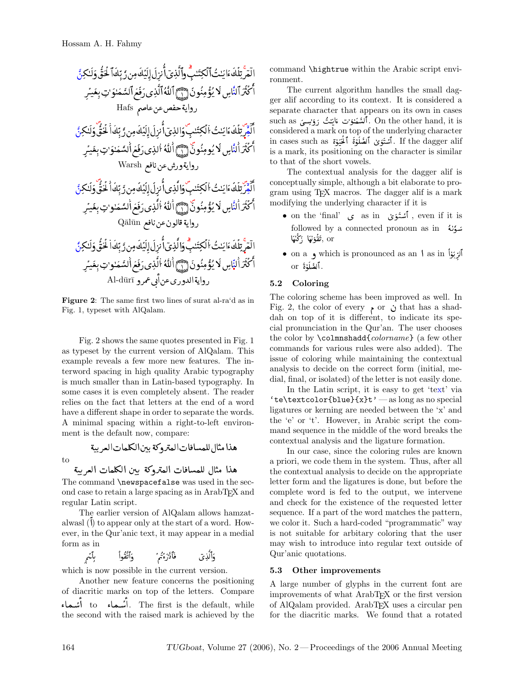command \n the current algorithm of the 
$$
\vec{u}
$$
 and  $\vec{u}$  and  $\vec{u}$  and  $\vec{u}$  and  $\vec{u}$  and  $\vec{u}$  and  $\vec{u}$  and  $\vec{u}$  and  $\vec{u}$  and  $\vec{u}$  and  $\vec{u}$  and  $\vec{u}$  and  $\vec{u}$  and  $\vec{u}$  and  $\vec{u}$  and  $\vec{u}$  are all according to the current algorithm of the current algorithm of the current function  $\vec{u}$  and  $\vec{u}$  and  $\vec{u}$  and  $\vec{u}$  are given by the current function  $\vec{u}$  and  $\vec{u}$  and  $\vec{u}$  and  $\vec{u}$  and  $\vec{u}$  and  $\vec{u}$  and  $\vec{u}$  and  $\vec{u}$  and  $\vec{u}$  and  $\vec{u}$  and  $\vec{u}$  and  $\vec{u}$  and  $\vec{u}$  and  $\vec{u}$  and  $\vec{u}$  and  $\vec{u}$  and  $\vec{u}$  and  $\vec{u}$  and  $\vec{u}$  and  $\vec{u}$  and  $\vec{u}$  and  $\vec{u}$  and  $\vec{u}$  and  $\vec{u}$  are a matrix, its position  $\vec{u}$  and  $\vec{u}$  and  $\vec{u}$  and  $\vec{u}$  and  $\vec{u}$  and  $\vec{u}$  and  $\vec{u}$  and  $\vec{u}$  and  $\vec{u}$  and  $\vec{u}$  and  $\vec{u}$  and  $\vec{u}$  and

Figure 2: The same first two lines of surat al-ra'd as in Fig. 1, typeset with AlQalam.

Fig. 2 shows the same quotes presented in Fig. 1 as typeset by the current version of AlQalam. This example reveals a few more new features. The interword spacing in high quality Arabic typography is much smaller than in Latin-based typography. In some cases it is even completely absent. The reader relies on the fact that letters at the end of a word have a different shape in order to separate the words. A minimal spacing within a right-to-left environment is the default now, compare:

to

 8 - \*!9

هذا مثال للمسافات المتروكة ببن الكلمات العربية

The command \newspacefalse was used in the second case to retain a large spacing as in ArabTEX and regular Latin script.

The earlier version of AlQalam allows hamzatalwasl () to appear only at the start of a word. However, in the Qur'anic text, it may appear in a medial form as in  $\mathcal{L}$ 

:1 ;6<=>?@1 <sup>A</sup> <sup>8</sup>B-C45 1D4 ?= 8 <sup>1</sup> .<br>فَأَذَّنَ وَيُمَ بَدَأَلَّذِينَ فَلاَ

which is now possible in the current version.

Another new feature concerns the positioning of diacritic marks on top of the letters. Compare - "% to - "% . The first is the default, while the second with the raised mark is achieved by the

 ronment.  $\sim$  command \hightrue within the Arabic script envi-

The current algorithm handles the small dag-<br>ger alif according to its context. It is considered a considered a mark on top of the underlying character<br>Considered a mark on top of the underlying character such as  $\epsilon$  interests that appears on the other hand, it is<br>1. اَلْشَمَـٰٓئُوۡتَ ءَايَنۡتُ رَوۡسِـیَ and as . is a mark, its positioning on the character is similar " الكتر الناسِ لا يُومِنُونَ (إِيّ) esistence a mark on top of the underlying emalated.<br>If the dagger alif . آشتَوَىٰ اَلصُلُوٰۃَ اَلحُبُوٰۃَ sin cases such as . The current algorithm handles the small dagseparate character that appears on its own in cases 1 to that of the short vowels.

> conceptually simple, although a bit elaborate to program using T<sub>E</sub>X macros. The dagger alif is a mark conceptually simple, although a bit elaborate to pro- "% modifying the underlying character if it is The contextual analysis for the dagger alif is

- on the 'final'  $\int_{0}^{\infty}$  as in  $\int_{0}^{\infty}$ , even if it is  $\delta$ followed by a connected pronoun as in سُوَّلُهُ > 1^XI \_<sup>D</sup> H > 1^I? 1B 645 ? , or
- on a  $\,$  , which is pronounced as an  $\,$  as in  $\,$  iv  $\,$  if

## 5.2 Coloring

The coloring scheme has been improved as well. In Fig. 2, the color of every  $\bullet$  or  $\circ$  that has a shaddah on top of it is different, to indicate its special pronunciation in the Qur'an. The user chooses the color by **\colmnshadd**{colorname} (a few other commands for various rules were also added). The issue of coloring while maintaining the contextual analysis to decide on the correct form (initial, medial, final, or isolated) of the letter is not easily done.

In the Latin script, it is easy to get 'text' via 'te\textcolor{blue}{x}t' — as long as no special ligatures or kerning are needed between the 'x' and the 'e' or 't'. However, in Arabic script the command sequence in the middle of the word breaks the contextual analysis and the ligature formation.

In our case, since the coloring rules are known a priori, we code them in the system. Thus, after all the contextual analysis to decide on the appropriate letter form and the ligatures is done, but before the complete word is fed to the output, we intervene and check for the existence of the requested letter sequence. If a part of the word matches the pattern, we color it. Such a hard-coded "programmatic" way is not suitable for arbitary coloring that the user may wish to introduce into regular text outside of Qur'anic quotations.

## 5.3 Other improvements

A large number of glyphs in the current font are improvements of what ArabTEX or the first version of AlQalam provided. ArabTEX uses a circular pen for the diacritic marks. We found that a rotated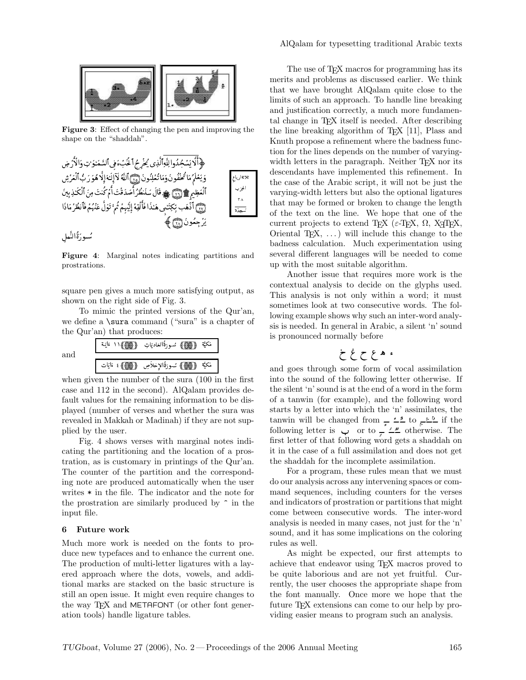

Figure 3: Effect of changing the pen and improving the shape on the "shaddah".



Figure 4: Marginal notes indicating partitions and prostrations.

square pen gives a much more satisfying output, as shown on the right side of Fig. 3.

To mimic the printed versions of the Qur'an, we define a  $\sum$  command ("sura" is a chapter of the Qur'an) that produces:

|     | - 688 D               | (@@) سُــورَةُالغاديَاتِ | المتمر فاستبدأ<br>مكيه |
|-----|-----------------------|--------------------------|------------------------|
| and | $\{ 00 \}$<br>ءَايَات | <b>(@)</b> سورةالإخلاص   | مَكِيَّة               |

when given the number of the sura (100 in the first case and 112 in the second). AlQalam provides default values for the remaining information to be displayed (number of verses and whether the sura was revealed in Makkah or Madinah) if they are not supplied by the user.

Fig. 4 shows verses with marginal notes indicating the partitioning and the location of a prostration, as is customary in printings of the Qur'an. The counter of the partition and the corresponding note are produced automatically when the user writes \* in the file. The indicator and the note for the prostration are similarly produced by  $\hat{\ }$  in the input file.

### 6 Future work

Much more work is needed on the fonts to produce new typefaces and to enhance the current one. The production of multi-letter ligatures with a layered approach where the dots, vowels, and additional marks are stacked on the basic structure is still an open issue. It might even require changes to the way T<sub>F</sub>X and METAFONT (or other font generation tools) handle ligature tables.

 $\therefore$  the case of the Arabic script, it will not be just the  $\dot{\bullet}$  of the text on the line. We hope that one of the The use of T<sub>E</sub>X macros for programming has its merits and problems as discussed earlier. We think that we have brought AlQalam quite close to the limits of such an approach. To handle line breaking and justification correctly, a much more fundamental change in T<sub>E</sub>X itself is needed. After describing the line breaking algorithm of  $T_{F}X$  [11], Plass and Knuth propose a refinement where the badness function for the lines depends on the number of varyingwidth letters in the paragraph. Neither T<sub>EX</sub> nor its descendants have implemented this refinement. In varying-width letters but also the optional ligatures that may be formed or broken to change the length current projects to extend T<sub>EX</sub> ( $\varepsilon$ -T<sub>EX</sub>,  $\Omega$ , X<sub>7</sub>T<sub>EX</sub>, Oriental T<sub>E</sub>X,  $\dots$ ) will include this change to the badness calculation. Much experimentation using several different languages will be needed to come up with the most suitable algorithm.

> Another issue that requires more work is the contextual analysis to decide on the glyphs used. This analysis is not only within a word; it must sometimes look at two consecutive words. The following example shows why such an inter-word analysis is needed. In general in Arabic, a silent 'n' sound is pronounced normally before

$$
\begin{array}{c}\n\cdot & \cdot \\
\cdot & \cdot \\
\end{array}
$$

and goes through some form of vocal assimilation into the sound of the following letter otherwise. If the silent 'n' sound is at the end of a word in the form of a tanwin (for example), and the following word starts by a letter into which the 'n' assimilates, the tanwin will be changed from  $\frac{1}{\epsilon} \sum_{n=1}^{\infty}$  to  $\frac{1}{\epsilon} \sum_{n=1}^{\infty}$  if the following letter is  $\psi$  or to  $\mathcal{L}$   $\mathcal{L}$  otherwise. The first letter of that following word gets a shaddah on it in the case of a full assimilation and does not get the shaddah for the incomplete assimilation.

For a program, these rules mean that we must do our analysis across any intervening spaces or command sequences, including counters for the verses and indicators of prostration or partitions that might come between consecutive words. The inter-word analysis is needed in many cases, not just for the 'n' sound, and it has some implications on the coloring rules as well.

As might be expected, our first attempts to achieve that endeavor using TEX macros proved to be quite laborious and are not yet fruitful. Currently, the user chooses the appropriate shape from the font manually. Once more we hope that the future T<sub>F</sub>X extensions can come to our help by providing easier means to program such an analysis.